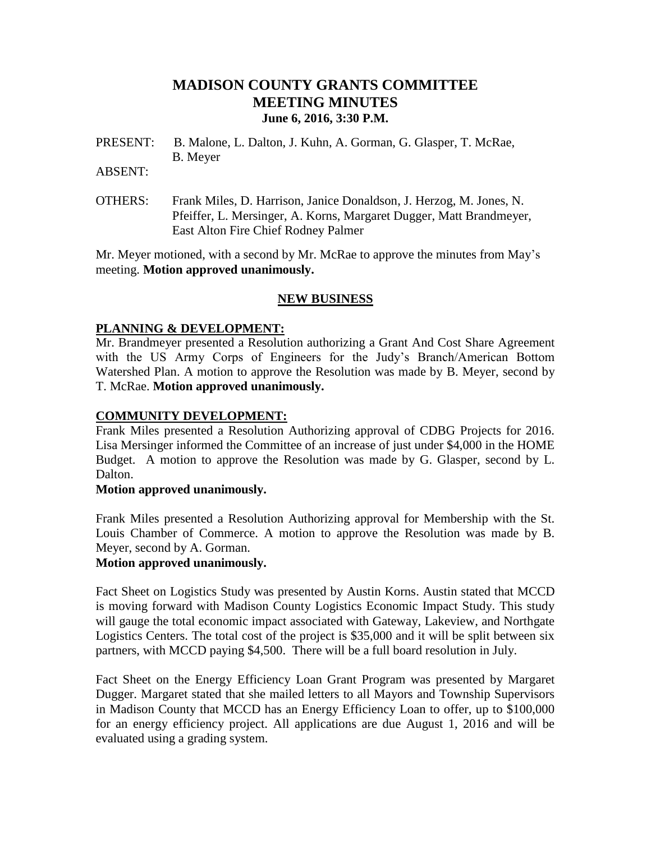# **MADISON COUNTY GRANTS COMMITTEE MEETING MINUTES June 6, 2016, 3:30 P.M.**

PRESENT: B. Malone, L. Dalton, J. Kuhn, A. Gorman, G. Glasper, T. McRae, B. Meyer

ABSENT:

OTHERS: Frank Miles, D. Harrison, Janice Donaldson, J. Herzog, M. Jones, N. Pfeiffer, L. Mersinger, A. Korns, Margaret Dugger, Matt Brandmeyer, East Alton Fire Chief Rodney Palmer

Mr. Meyer motioned, with a second by Mr. McRae to approve the minutes from May's meeting. **Motion approved unanimously.**

## **NEW BUSINESS**

## **PLANNING & DEVELOPMENT:**

Mr. Brandmeyer presented a Resolution authorizing a Grant And Cost Share Agreement with the US Army Corps of Engineers for the Judy's Branch/American Bottom Watershed Plan. A motion to approve the Resolution was made by B. Meyer, second by T. McRae. **Motion approved unanimously.**

## **COMMUNITY DEVELOPMENT:**

Frank Miles presented a Resolution Authorizing approval of CDBG Projects for 2016. Lisa Mersinger informed the Committee of an increase of just under \$4,000 in the HOME Budget. A motion to approve the Resolution was made by G. Glasper, second by L. Dalton.

#### **Motion approved unanimously.**

Frank Miles presented a Resolution Authorizing approval for Membership with the St. Louis Chamber of Commerce. A motion to approve the Resolution was made by B. Meyer, second by A. Gorman.

## **Motion approved unanimously.**

Fact Sheet on Logistics Study was presented by Austin Korns. Austin stated that MCCD is moving forward with Madison County Logistics Economic Impact Study. This study will gauge the total economic impact associated with Gateway, Lakeview, and Northgate Logistics Centers. The total cost of the project is \$35,000 and it will be split between six partners, with MCCD paying \$4,500. There will be a full board resolution in July.

Fact Sheet on the Energy Efficiency Loan Grant Program was presented by Margaret Dugger. Margaret stated that she mailed letters to all Mayors and Township Supervisors in Madison County that MCCD has an Energy Efficiency Loan to offer, up to \$100,000 for an energy efficiency project. All applications are due August 1, 2016 and will be evaluated using a grading system.